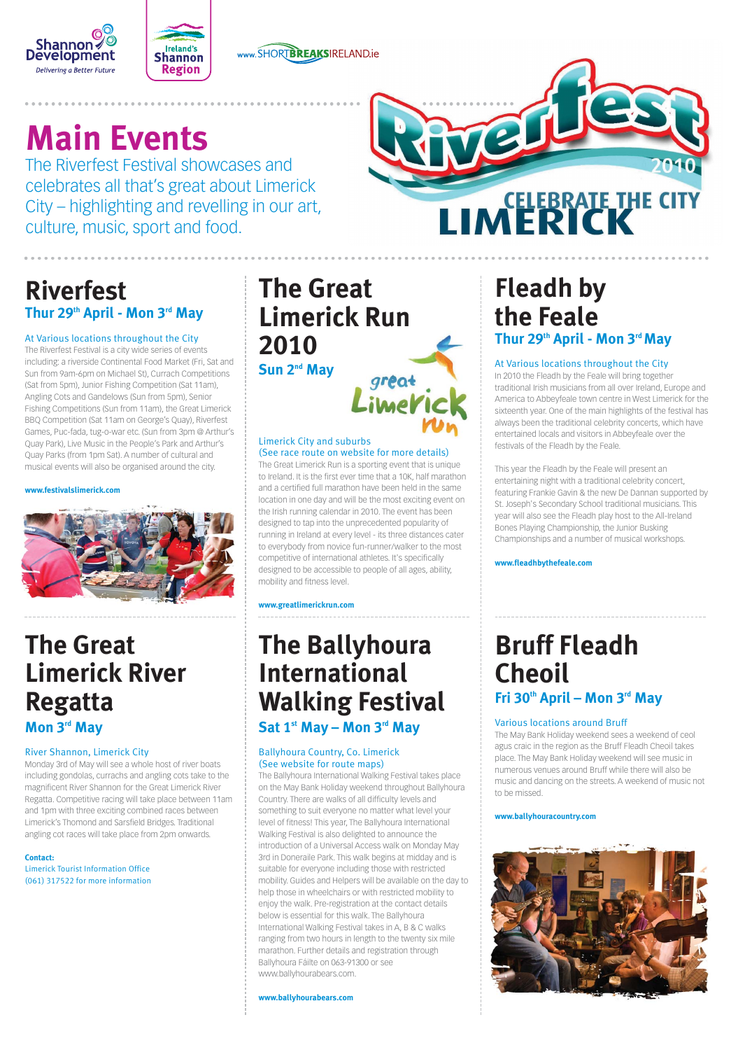



www.SHORTBREAKSIRELAND.ie

# **Main Events**

The Riverfest Festival showcases and celebrates all that's great about Limerick City – highlighting and revelling in our art, culture, music, sport and food.



# **Riverfest Thur 29th April - Mon 3rd May**

#### At Various locations throughout the City

The Riverfest Festival is a city wide series of events including: a riverside Continental Food Market (Fri, Sat and Sun from 9am-6pm on Michael St), Currach Competitions (Sat from 5pm), Junior Fishing Competition (Sat 11am), Angling Cots and Gandelows (Sun from 5pm), Senior Fishing Competitions (Sun from 11am), the Great Limerick BBQ Competition (Sat 11am on George's Quay), Riverfest Games, Puc-fada, tug-o-war etc. (Sun from 3pm @ Arthur's Quay Park), Live Music in the People's Park and Arthur's Quay Parks (from 1pm Sat). A number of cultural and musical events will also be organised around the city.

#### **www.festivalslimerick.com**



# **Fleadh by the Feale Thur 29th April - Mon 3rd May**

#### At Various locations throughout the City

In 2010 the Fleadh by the Feale will bring together traditional Irish musicians from all over Ireland, Europe and America to Abbeyfeale town centre in West Limerick for the sixteenth year. One of the main highlights of the festival has always been the traditional celebrity concerts, which have entertained locals and visitors in Abbeyfeale over the festivals of the Fleadh by the Feale.

This year the Fleadh by the Feale will present an entertaining night with a traditional celebrity concert, featuring Frankie Gavin & the new De Dannan supported by St. Joseph's Secondary School traditional musicians. This year will also see the Fleadh play host to the All-Ireland Bones Playing Championship, the Junior Busking Championships and a number of musical workshops.

#### **www.fleadhbythefeale.com**

# **The Great Limerick River Regatta**

**Mon 3rd May**

#### River Shannon, Limerick City

Monday 3rd of May will see a whole host of river boats including gondolas, currachs and angling cots take to the magnificent River Shannon for the Great Limerick River Regatta. Competitive racing will take place between 11am and 1pm with three exciting combined races between Limerick's Thomond and Sarsfield Bridges. Traditional angling cot races will take place from 2pm onwards.

#### **Contact:**

Limerick Tourist Information Office (061) 317522 for more information

# **The Ballyhoura International Walking Festival**

**Sat 1st May – Mon 3rd May**

#### Ballyhoura Country, Co. Limerick (See website for route maps)

The Ballyhoura International Walking Festival takes place on the May Bank Holiday weekend throughout Ballyhoura Country. There are walks of all difficulty levels and something to suit everyone no matter what level your level of fitness! This year, The Ballyhoura International Walking Festival is also delighted to announce the introduction of a Universal Access walk on Monday May 3rd in Doneraile Park. This walk begins at midday and is suitable for everyone including those with restricted mobility. Guides and Helpers will be available on the day to help those in wheelchairs or with restricted mobility to enjoy the walk. Pre-registration at the contact details below is essential for this walk. The Ballyhoura International Walking Festival takes in A, B & C walks ranging from two hours in length to the twenty six mile marathon. Further details and registration through Ballyhoura Fáilte on 063-91300 or see www.ballyhourabears.com.

#### **www.ballyhourabears.com**

# **Bruff Fleadh Cheoil Fri 30th April – Mon 3rd May**

#### Various locations around Bruff

The May Bank Holiday weekend sees a weekend of ceol agus craic in the region as the Bruff Fleadh Cheoil takes place. The May Bank Holiday weekend will see music in numerous venues around Bruff while there will also be music and dancing on the streets. A weekend of music not to be missed.

#### **www.ballyhouracountry.com**



# **The Great Limerick Run 2010**

#### **Sun 2nd May**



#### Limerick City and suburbs (See race route on website for more details)

The Great Limerick Run is a sporting event that is unique to Ireland. It is the first ever time that a 10K, half marathon and a certified full marathon have been held in the same location in one day and will be the most exciting event on the Irish running calendar in 2010. The event has been designed to tap into the unprecedented popularity of running in Ireland at every level - its three distances cater to everybody from novice fun-runner/walker to the most competitive of international athletes. It's specifically designed to be accessible to people of all ages, ability, mobility and fitness level.

**www.greatlimerickrun.com**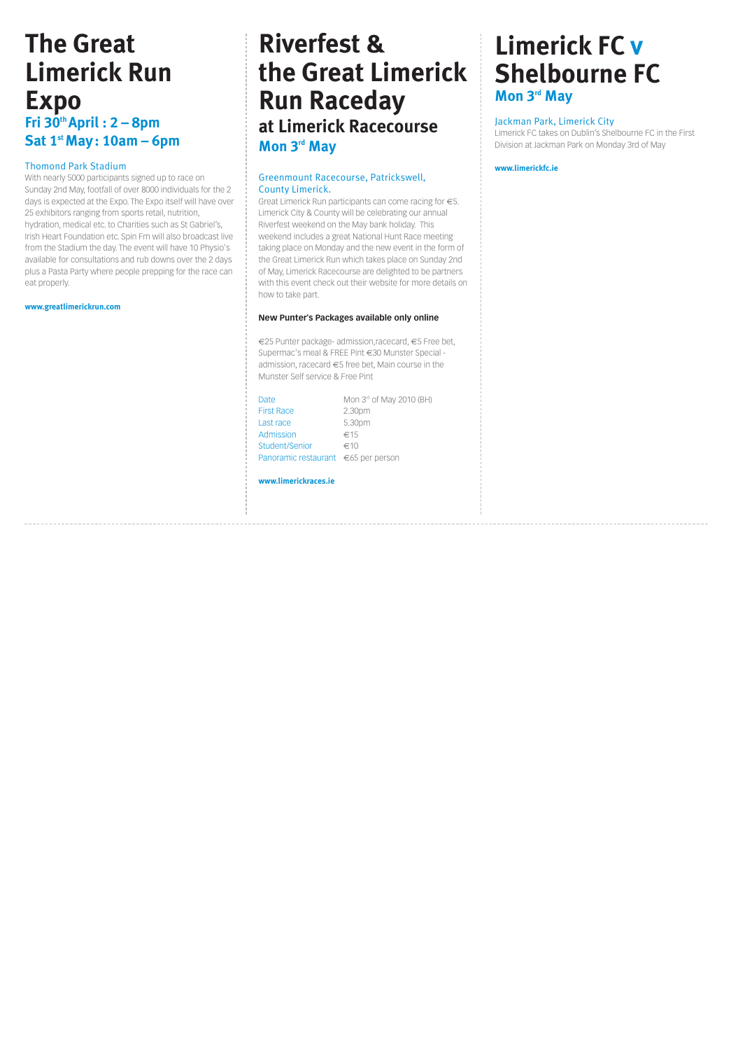## **The Great Limerick Run Expo Fri 30th April : 2 – 8pm Sat 1st May: 10am – 6pm**

#### Thomond Park Stadium

With nearly 5000 participants signed up to race on Sunday 2nd May, footfall of over 8000 individuals for the 2 days is expected at the Expo. The Expo itself will have over 25 exhibitors ranging from sports retail, nutrition, hydration, medical etc. to Charities such as St Gabriel's, Irish Heart Foundation etc. Spin Fm will also broadcast live from the Stadium the day. The event will have 10 Physio's available for consultations and rub downs over the 2 days plus a Pasta Party where people prepping for the race can eat properly.

**www.greatlimerickrun.com**

# **Riverfest & the Great Limerick Run Raceday at Limerick Racecourse Mon 3rd May**

#### Greenmount Racecourse, Patrickswell, County Limerick.

Great Limerick Run participants can come racing for €5. Limerick City & County will be celebrating our annual Riverfest weekend on the May bank holiday. This weekend includes a great National Hunt Race meeting taking place on Monday and the new event in the form of the Great Limerick Run which takes place on Sunday 2nd of May, Limerick Racecourse are delighted to be partners with this event check out their website for more details on how to take part.

#### **New Punter's Packages available only online**

€25 Punter package- admission,racecard, €5 Free bet, Supermac's meal & FREE Pint €30 Munster Special admission, racecard  $\epsilon$ 5 free bet, Main course in the Munster Self service & Free Pint

| Date                                | Mon $3rd$ of May 2010 (BH) |
|-------------------------------------|----------------------------|
| <b>First Race</b>                   | 2.30pm                     |
| Last race                           | 5.30pm                     |
| Admission                           | ∈15                        |
| Student/Senior                      | ∈10                        |
| Panoramic restaurant €65 per person |                            |

#### **www.limerickraces.ie**

# **Limerick FC v Shelbourne FC Mon 3rd May**

#### Jackman Park, Limerick City

Limerick FC takes on Dublin's Shelbourne FC in the First Division at Jackman Park on Monday 3rd of May

#### **www.limerickfc.ie**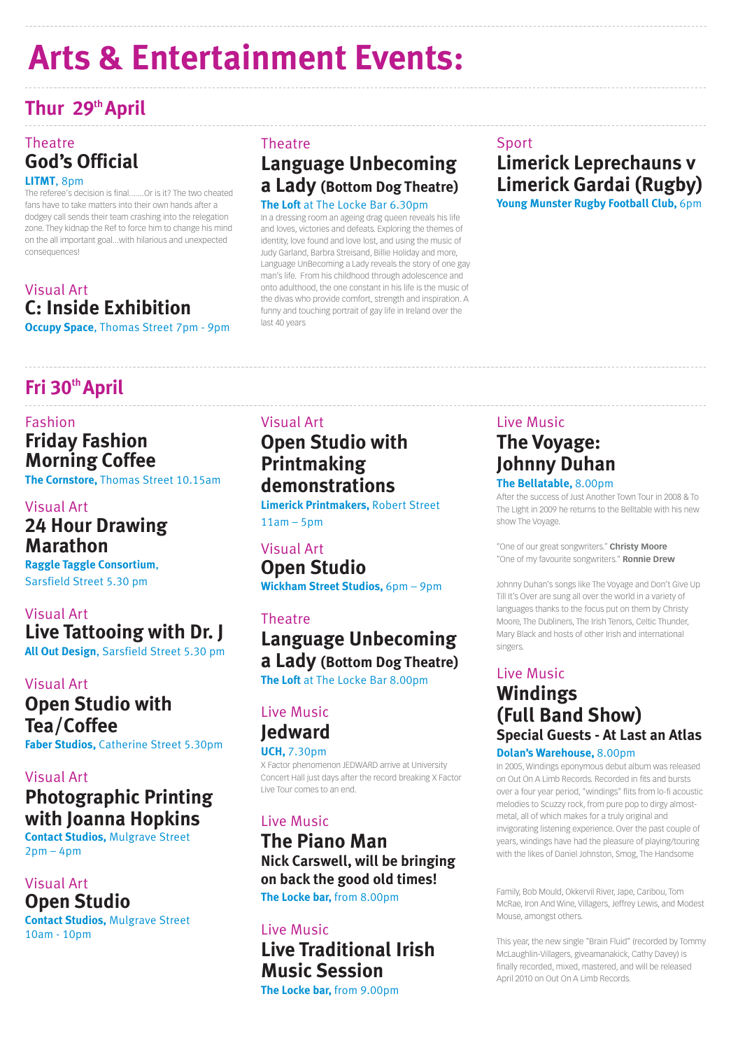# **Thur 29th April**

## **Theatre God's Official**

#### **LITMT**, 8pm

The referee's decision is final.......Or is it? The two cheated fans have to take matters into their own hands after a dodgey call sends their team crashing into the relegation zone. They kidnap the Ref to force him to change his mind on the all important goal...with hilarious and unexpected consequences!

## **Theatre Language Unbecoming a Lady (Bottom Dog Theatre) The Loft** at The Locke Bar 6.30pm

## Visual Art **C: Inside Exhibition**

**Occupy Space**, Thomas Street 7pm - 9pm

## Sport **Limerick Leprechauns v Limerick Gardai (Rugby)**

**Young Munster Rugby Football Club,** 6pm

**Contact Studios,** Mulgrave Street  $2pm - 4pm$ 

In a dressing room an ageing drag queen reveals his life and loves, victories and defeats. Exploring the themes of identity, love found and love lost, and using the music of Judy Garland, Barbra Streisand, Billie Holiday and more, Language UnBecoming a Lady reveals the story of one gay man's life. From his childhood through adolescence and onto adulthood, the one constant in his life is the music of the divas who provide comfort, strength and inspiration. A funny and touching portrait of gay life in Ireland over the last 40 years

# **Fri 30th April**

## Fashion **Friday Fashion Morning Coffee**

**The Cornstore,** Thomas Street 10.15am

## Visual Art **24 Hour Drawing Marathon**

**Raggle Taggle Consortium**, Sarsfield Street 5.30 pm

## Visual Art **Live Tattooing with Dr. J All Out Design**, Sarsfield Street 5.30 pm

## Visual Art **Open Studio with Tea/Coffee**

**Faber Studios,** Catherine Street 5.30pm

## Visual Art **Photographic Printing with Joanna Hopkins**

**Limerick Printmakers,** Robert Street  $11am - 5pm$ 

### Visual Art **Open Studio**

**Contact Studios,** Mulgrave Street 10am - 10pm

## Live Music **The Voyage: Johnny Duhan**

#### **The Bellatable,** 8.00pm

After the success of Just Another Town Tour in 2008 & To The Light in 2009 he returns to the Belltable with his new show The Voyage.

"One of our great songwriters." **Christy Moore** "One of my favourite songwriters." **Ronnie Drew**

Johnny Duhan's songs like The Voyage and Don't Give Up Till It's Over are sung all over the world in a variety of languages thanks to the focus put on them by Christy Moore, The Dubliners, The Irish Tenors, Celtic Thunder, Mary Black and hosts of other Irish and international singers.

## Live Music **Windings (Full Band Show) Special Guests - At Last an Atlas**

#### **Dolan's Warehouse,** 8.00pm

In 2005, Windings eponymous debut album was released on Out On A Limb Records. Recorded in fits and bursts over a four year period, "windings" flits from lo-fi acoustic melodies to Scuzzy rock, from pure pop to dirgy almostmetal, all of which makes for a truly original and invigorating listening experience. Over the past couple of years, windings have had the pleasure of playing/touring with the likes of Daniel Johnston, Smog, The Handsome

Family, Bob Mould, Okkervil River, Jape, Caribou, Tom McRae, Iron And Wine, Villagers, Jeffrey Lewis, and Modest Mouse, amongst others.

This year, the new single "Brain Fluid" (recorded by Tommy McLaughlin-Villagers, giveamanakick, Cathy Davey) is finally recorded, mixed, mastered, and will be released April 2010 on Out On A Limb Records.

## Visual Art

## **Open Studio with Printmaking demonstrations**

## Visual Art **Open Studio Wickham Street Studios,** 6pm – 9pm

## Theatre **Language Unbecoming a Lady (Bottom Dog Theatre) The Loft** at The Locke Bar 8.00pm

Live Music **Jedward**

#### **UCH,** 7.30pm

X Factor phenomenon JEDWARD arrive at University Concert Hall just days after the record breaking X Factor Live Tour comes to an end.

## Live Music **The Piano Man Nick Carswell, will be bringing on back the good old times! The Locke bar,** from 8.00pm

Live Music **Live Traditional Irish Music Session** 

**The Locke bar,** from 9.00pm

# **Arts & Entertainment Events:**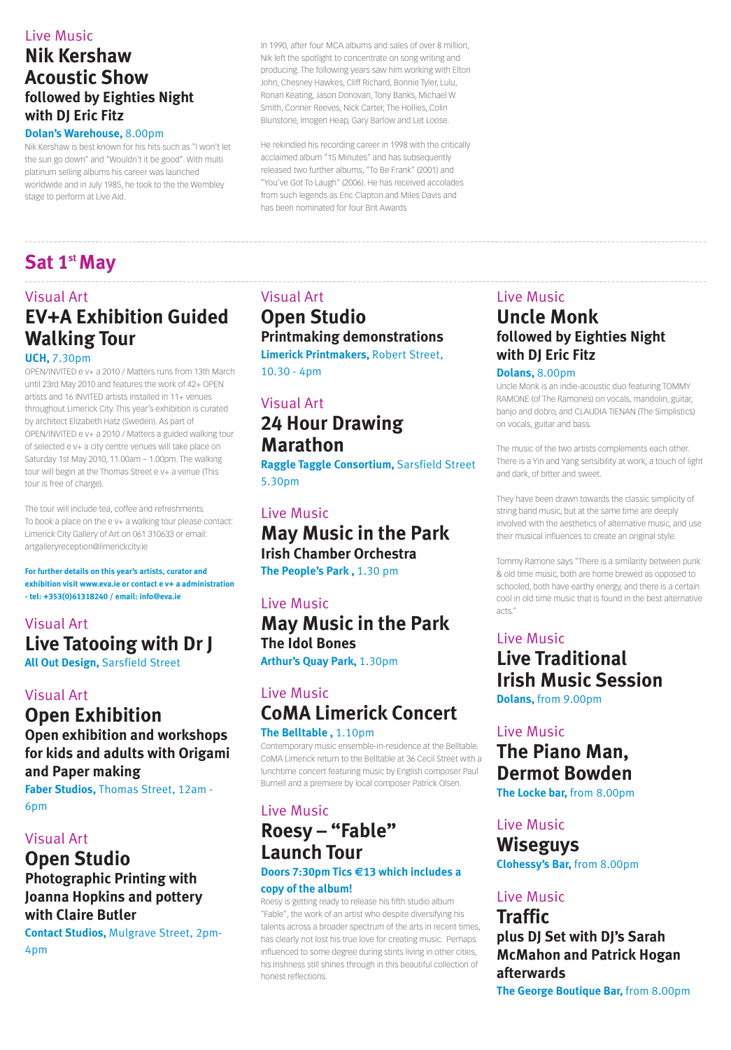## Live Music **Uncle Monk followed by Eighties Night with DJ Eric Fitz**

#### **Dolans,** 8.00pm

Uncle Monk is an indie-acoustic duo featuring TOMMY RAMONE (of The Ramones) on vocals, mandolin, guitar, banjo and dobro, and CLAUDIA TIENAN (The Simplistics) on vocals, guitar and bass.

The music of the two artists complements each other. There is a Yin and Yang sensibility at work, a touch of light and dark, of bitter and sweet.

They have been drawn towards the classic simplicity of string band music, but at the same time are deeply involved with the aesthetics of alternative music, and use their musical influences to create an original style.

Tommy Ramone says "There is a similarity between punk & old time music, both are home brewed as opposed to schooled, both have earthy energy, and there is a certain cool in old time music that is found in the best alternative acts."

## Live Music **Live Traditional Irish Music Session Dolans,** from 9.00pm

Live Music

## **The Piano Man, Dermot Bowden**

**The Locke bar,** from 8.00pm

## Live Music **Wiseguys**

**Clohessy's Bar,** from 8.00pm

## Live Music

## **Traffic plus DJ Set with DJ's Sarah McMahon and Patrick Hogan afterwards**

**The George Boutique Bar,** from 8.00pm

## Visual Art **Open Studio Printmaking demonstrations**

**Limerick Printmakers,** Robert Street, 10.30 - 4pm

## Visual Art **24 Hour Drawing Marathon**

**Raggle Taggle Consortium,** Sarsfield Street 5.30pm

## Live Music **May Music in the Park Irish Chamber Orchestra**

**The People's Park ,** 1.30 pm

Live Music **May Music in the Park The Idol Bones Arthur's Quay Park,** 1.30pm

## Live Music **CoMA Limerick Concert**

**The Belltable ,** 1.10pm Contemporary music ensemble-in-residence at the Belltable. CoMA Limerick return to the Belltable at 36 Cecil Street with a lunchtime concert featuring music by English composer Paul Burnell and a premiere by local composer Patrick Olsen.

## Live Music

## **Roesy – "Fable" Launch Tour**

#### **Doors 7:30pm Tics €13 which includes a**

#### **copy of the album!**

Roesy is getting ready to release his fifth studio album "Fable", the work of an artist who despite diversifying his talents across a broader spectrum of the arts in recent times, has clearly not lost his true love for creating music. Perhaps influenced to some degree during stints living in other cities, his Irishness still shines through in this beautiful collection of honest reflections.

# **Sat 1st May**

## Visual Art **EV+A Exhibition Guided Walking Tour**

#### **UCH,** 7.30pm

OPEN/INVITED e v+ a 2010 / Matters runs from 13th March until 23rd May 2010 and features the work of 42+ OPEN artists and 16 INVITED artists installed in 11+ venues throughout Limerick City. This year's exhibition is curated by architect Elizabeth Hatz (Sweden). As part of OPEN/INVITED e v+ a 2010 / Matters a guided walking tour of selected e v+ a city centre venues will take place on Saturday 1st May 2010, 11.00am – 1.00pm. The walking tour will begin at the Thomas Street e v+ a venue (This tour is free of charge).

The tour will include tea, coffee and refreshments. To book a place on the e v+ a walking tour please contact: Limerick City Gallery of Art on 061 310633 or email: artgalleryreception@limerickcity.ie

**For further details on this year's artists, curator and exhibition visit www.eva.ie or contact e v+ a administration - tel: +353(0)61318240 / email: info@eva.ie**

## Visual Art **Live Tatooing with Dr J**

**All Out Design,** Sarsfield Street

#### Visual Art

## **Open Exhibition Open exhibition and workshops**

**for kids and adults with Origami and Paper making Faber Studios,** Thomas Street, 12am - 6pm

## Visual Art **Open Studio Photographic Printing with Joanna Hopkins and pottery with Claire Butler**

**Contact Studios,** Mulgrave Street, 2pm-4pm

## Live Music **Nik Kershaw Acoustic Show followed by Eighties Night with DJ Eric Fitz**

#### **Dolan's Warehouse,** 8.00pm

Nik Kershaw is best known for his hits such as "I won't let the sun go down" and "Wouldn't it be good". With multi platinum selling albums his career was launched worldwide and in July 1985, he took to the the Wembley stage to perform at Live Aid.

In 1990, after four MCA albums and sales of over 8 million, Nik left the spotlight to concentrate on song writing and producing. The following years saw him working with Elton John, Chesney Hawkes, Cliff Richard, Bonnie Tyler, Lulu, Ronan Keating, Jason Donovan, Tony Banks, Michael W Smith, Conner Reeves, Nick Carter, The Hollies, Colin Blunstone, Imogen Heap, Gary Barlow and Let Loose.

He rekindled his recording career in 1998 with the critically acclaimed album "15 Minutes" and has subsequently released two further albums, "To Be Frank" (2001) and "You've Got To Laugh" (2006). He has received accolades from such legends as Eric Clapton and Miles Davis and has been nominated for four Brit Awards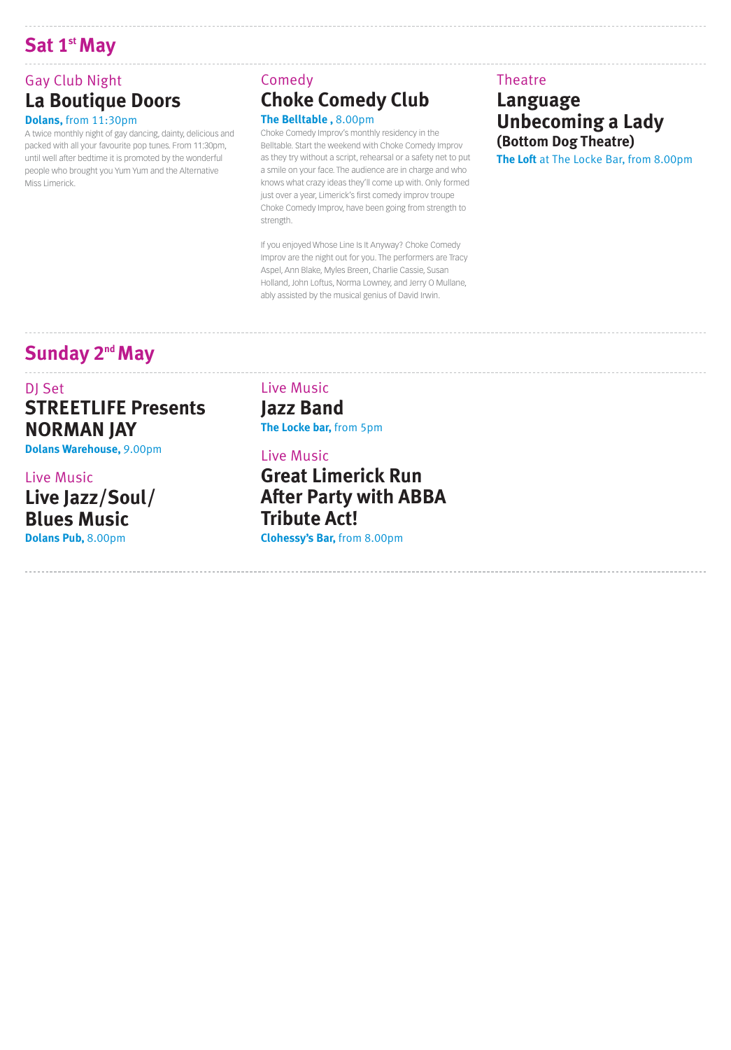## **Sat 1st May**

## Gay Club Night **La Boutique Doors**

#### **Dolans,** from 11:30pm

A twice monthly night of gay dancing, dainty, delicious and packed with all your favourite pop tunes. From 11:30pm, until well after bedtime it is promoted by the wonderful people who brought you Yum Yum and the Alternative Miss Limerick.

## Comedy **Choke Comedy Club The Belltable ,** 8.00pm

Choke Comedy Improv's monthly residency in the Belltable. Start the weekend with Choke Comedy Improv as they try without a script, rehearsal or a safety net to put a smile on your face. The audience are in charge and who knows what crazy ideas they'll come up with. Only formed just over a year, Limerick's first comedy improv troupe Choke Comedy Improv, have been going from strength to strength.

If you enjoyed Whose Line Is It Anyway? Choke Comedy Improv are the night out for you. The performers are Tracy Aspel, Ann Blake, Myles Breen, Charlie Cassie, Susan Holland, John Loftus, Norma Lowney, and Jerry O Mullane, ably assisted by the musical genius of David Irwin.

## Theatre **Language Unbecoming a Lady (Bottom Dog Theatre)**

**The Loft** at The Locke Bar, from 8.00pm

## **Sunday 2<sup>nd</sup> May**

## DI Set **STREETLIFE Presents NORMAN JAY**

**Dolans Warehouse,** 9.00pm

## Live Music **Live Jazz/Soul/ Blues Music**

**Dolans Pub,** 8.00pm

Live Music **Jazz Band The Locke bar,** from 5pm

Live Music **Great Limerick Run After Party with ABBA Tribute Act! Clohessy's Bar,** from 8.00pm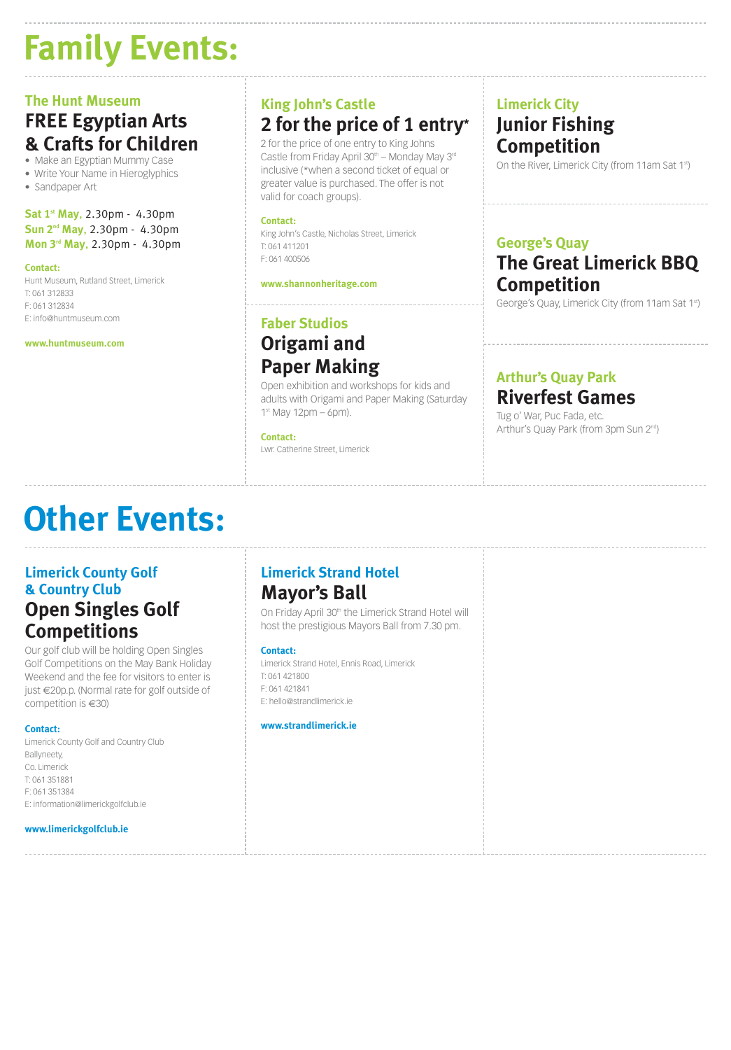# **Family Events:**

## **The Hunt Museum FREE Egyptian Arts & Crafts for Children**

• Make an Egyptian Mummy Case

• Write Your Name in Hieroglyphics

• Sandpaper Art

**Sat 1st May**, 2.30pm - 4.30pm **Sun 2nd May**, 2.30pm - 4.30pm **Mon 3rd May**, 2.30pm - 4.30pm

#### **Contact:**

Hunt Museum, Rutland Street, Limerick T: 061 312833 F: 061 312834 E: info@huntmuseum.com

**www.huntmuseum.com**

## **King John's Castle 2 for the price of 1 entry\***

2 for the price of one entry to King Johns Castle from Friday April  $30<sup>th</sup>$  – Monday May 3<sup>rd</sup> inclusive (\*when a second ticket of equal or greater value is purchased. The offer is not valid for coach groups).

#### **Contact:**

King John's Castle, Nicholas Street, Limerick T: 061 411201 F: 061 400506

#### **www.shannonheritage.com**

## **Faber Studios Origami and Paper Making**

Open exhibition and workshops for kids and adults with Origami and Paper Making (Saturday  $1<sup>st</sup>$  May 12pm – 6pm).

#### **Contact:**

Lwr. Catherine Street, Limerick

## **Limerick City Junior Fishing Competition**

On the River, Limerick City (from 11am Sat 1st)

#### **George's Quay**

# **The Great Limerick BBQ Competition**

George's Quay, Limerick City (from 11am Sat 1st)

## **Arthur's Quay Park Riverfest Games**

Tug o' War, Puc Fada, etc. Arthur's Quay Park (from 3pm Sun 2<sup>nd</sup>)

# **Other Events:**

## **Limerick County Golf & Country Club Open Singles Golf Competitions**

Our golf club will be holding Open Singles Golf Competitions on the May Bank Holiday Weekend and the fee for visitors to enter is just €20p.p. (Normal rate for golf outside of competition is €30)

#### **Contact:**

Limerick County Golf and Country Club Ballyneety, Co. Limerick T: 061 351881 F: 061 351384 E: information@limerickgolfclub.ie

#### **www.limerickgolfclub.ie**

## **Limerick Strand Hotel Mayor's Ball**

On Friday April 30<sup>th</sup> the Limerick Strand Hotel will host the prestigious Mayors Ball from 7.30 pm.

Limerick Strand Hotel, Ennis Road, Limerick T: 061 421800 F: 061 421841 E: hello@strandlimerick.ie

#### **www.strandlimerick.ie**

#### **Contact:**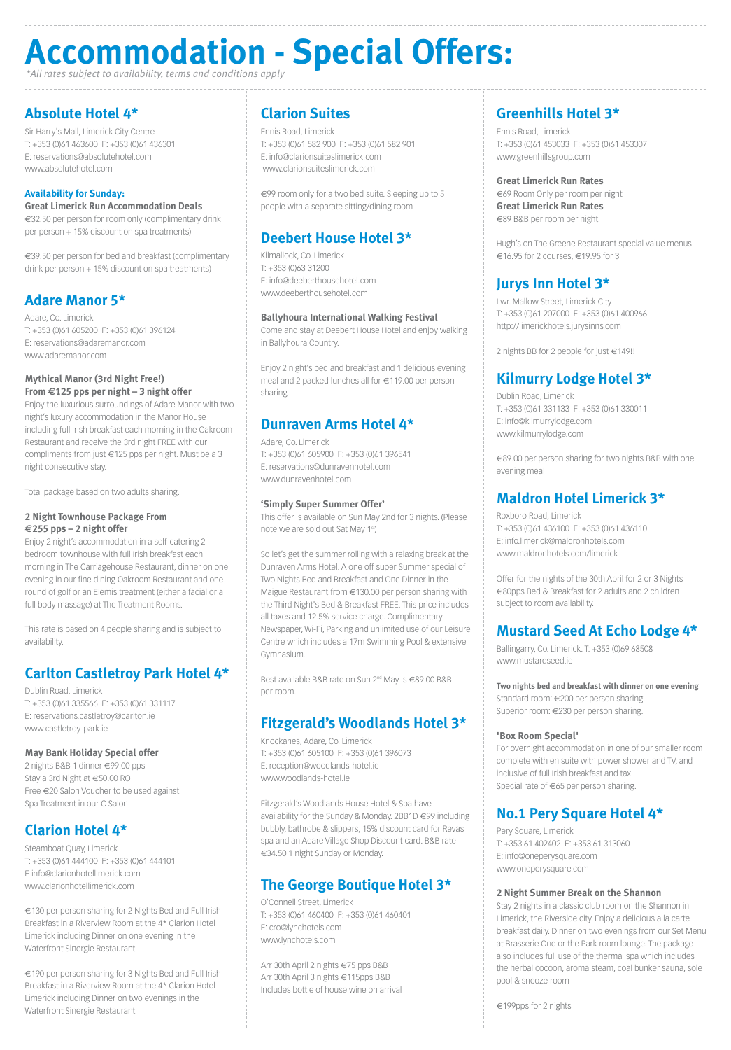## **Absolute Hotel 4\***

Sir Harry's Mall, Limerick City Centre T: +353 (0)61 463600 F: +353 (0)61 436301 E: reservations@absolutehotel.com www.absolutehotel.com

€39.50 per person for bed and breakfast (complimentary drink per person + 15% discount on spa treatments)

#### **Availability for Sunday:**

#### **Great Limerick Run Accommodation Deals**

€32.50 per person for room only (complimentary drink per person + 15% discount on spa treatments)

### **Adare Manor 5\***

Adare, Co. Limerick T: +353 (0)61 605200 F: +353 (0)61 396124 E: reservations@adaremanor.com www.adaremanor.com

#### **Mythical Manor (3rd Night Free!) From €125 pps per night – 3 night offer**

Enjoy the luxurious surroundings of Adare Manor with two night's luxury accommodation in the Manor House including full Irish breakfast each morning in the Oakroom Restaurant and receive the 3rd night FREE with our compliments from just €125 pps per night. Must be a 3 night consecutive stay.

Total package based on two adults sharing.

#### **2 Night Townhouse Package From €255 pps – 2 night offer**

Enjoy 2 night's accommodation in a self-catering 2 bedroom townhouse with full Irish breakfast each morning in The Carriagehouse Restaurant, dinner on one evening in our fine dining Oakroom Restaurant and one round of golf or an Elemis treatment (either a facial or a full body massage) at The Treatment Rooms.

Hugh's on The Greene Restaurant special value menus €16.95 for 2 courses,  $€19.95$  for 3

This rate is based on 4 people sharing and is subject to availability.

## **Carlton Castletroy Park Hotel 4\***

Dublin Road, Limerick T: +353 (0)61 335566 F: +353 (0)61 331117 E: reservations.castletroy@carlton.ie www.castletroy-park.ie

#### **May Bank Holiday Special offer**

2 nights B&B 1 dinner €99.00 pps Stay a 3rd Night at €50.00 RO Free €20 Salon Voucher to be used against Spa Treatment in our C Salon

#### **Clarion Hotel 4\***

Steamboat Quay, Limerick T: +353 (0)61 444100 F: +353 (0)61 444101 E info@clarionhotellimerick.com www.clarionhotellimerick.com

€130 per person sharing for 2 Nights Bed and Full Irish Breakfast in a Riverview Room at the 4\* Clarion Hotel Limerick including Dinner on one evening in the Waterfront Sinergie Restaurant

€190 per person sharing for 3 Nights Bed and Full Irish Breakfast in a Riverview Room at the 4\* Clarion Hotel Limerick including Dinner on two evenings in the Waterfront Sinergie Restaurant

### **Greenhills Hotel 3\***

Ennis Road, Limerick T: +353 (0)61 453033 F: +353 (0)61 453307 www.greenhillsgroup.com

#### **Great Limerick Run Rates**

€69 Room Only per room per night **Great Limerick Run Rates** €89 B&B per room per night

### **Jurys Inn Hotel 3\***

Lwr. Mallow Street, Limerick City T: +353 (0)61 207000 F: +353 (0)61 400966 http://limerickhotels.jurysinns.com

2 nights BB for 2 people for just €149!!

## **Kilmurry Lodge Hotel 3\***

Best available B&B rate on Sun 2<sup>nd</sup> May is €89.00 B&B per room.

Dublin Road, Limerick T: +353 (0)61 331133 F: +353 (0)61 330011 E: info@kilmurrylodge.com www.kilmurrylodge.com

€89.00 per person sharing for two nights B&B with one evening meal

#### **Maldron Hotel Limerick 3\***

Roxboro Road, Limerick T: +353 (0)61 436100 F: +353 (0)61 436110 E: info.limerick@maldronhotels.com www.maldronhotels.com/limerick

Offer for the nights of the 30th April for 2 or 3 Nights €80pps Bed & Breakfast for 2 adults and 2 children subject to room availability.

## **Mustard Seed At Echo Lodge 4\***

Ballingarry, Co. Limerick. T: +353 (0)69 68508 www.mustardseed.ie

**Two nights bed and breakfast with dinner on one evening**  Standard room: €200 per person sharing. Superior room: €230 per person sharing.

#### **'Box Room Special'**

For overnight accommodation in one of our smaller room complete with en suite with power shower and TV, and inclusive of full Irish breakfast and tax. Special rate of €65 per person sharing.

## **No.1 Pery Square Hotel 4\***

Pery Square, Limerick T: +353 61 402402 F: +353 61 313060 E: info@oneperysquare.com www.oneperysquare.com

#### **2 Night Summer Break on the Shannon**

Stay 2 nights in a classic club room on the Shannon in Limerick, the Riverside city. Enjoy a delicious a la carte breakfast daily. Dinner on two evenings from our Set Menu at Brasserie One or the Park room lounge. The package also includes full use of the thermal spa which includes the herbal cocoon, aroma steam, coal bunker sauna, sole pool & snooze room

€199pps for 2 nights

## **Clarion Suites**

Ennis Road, Limerick T: +353 (0)61 582 900 F: +353 (0)61 582 901 E: info@clarionsuiteslimerick.com www.clarionsuiteslimerick.com

€99 room only for a two bed suite. Sleeping up to 5 people with a separate sitting/dining room

## **Deebert House Hotel 3\***

Kilmallock, Co. Limerick T: +353 (0)63 31200 E: info@deeberthousehotel.com www.deeberthousehotel.com

#### **Ballyhoura International Walking Festival**

Come and stay at Deebert House Hotel and enjoy walking in Ballyhoura Country.

Enjoy 2 night's bed and breakfast and 1 delicious evening meal and 2 packed lunches all for €119.00 per person sharing.

#### **Dunraven Arms Hotel 4\***

Adare, Co. Limerick T: +353 (0)61 605900 F: +353 (0)61 396541 E: reservations@dunravenhotel.com www.dunravenhotel.com

#### **'Simply Super Summer Offer'**

This offer is available on Sun May 2nd for 3 nights. (Please note we are sold out Sat May 1st)

So let's get the summer rolling with a relaxing break at the Dunraven Arms Hotel. A one off super Summer special of Two Nights Bed and Breakfast and One Dinner in the Maigue Restaurant from €130.00 per person sharing with the Third Night's Bed & Breakfast FREE. This price includes all taxes and 12.5% service charge. Complimentary Newspaper, Wi-Fi, Parking and unlimited use of our Leisure Centre which includes a 17m Swimming Pool & extensive Gymnasium.

#### **Fitzgerald's Woodlands Hotel 3\***

Knockanes, Adare, Co. Limerick

T: +353 (0)61 605100 F: +353 (0)61 396073 E: reception@woodlands-hotel.ie www.woodlands-hotel.ie

Fitzgerald's Woodlands House Hotel & Spa have availability for the Sunday & Monday. 2BB1D €99 including bubbly, bathrobe & slippers, 15% discount card for Revas spa and an Adare Village Shop Discount card. B&B rate €34.50 1 night Sunday or Monday.

### **The George Boutique Hotel 3\***

O'Connell Street, Limerick T: +353 (0)61 460400 F: +353 (0)61 460401 E: cro@lynchotels.com www.lynchotels.com

Arr 30th April 2 nights €75 pps B&B Arr 30th April 3 nights €115pps B&B Includes bottle of house wine on arrival

# **Accommodation - Special Offers:**

*\*All rates subject to availability, terms and conditions apply*